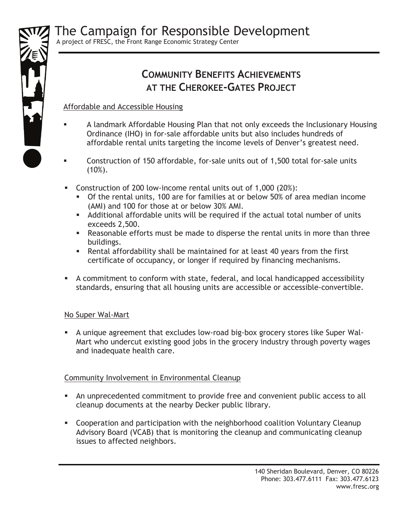

# **COMMUNITY BENEFITS ACHIEVEMENTS AT THE CHEROKEE-GATES PROJECT**

## Affordable and Accessible Housing

- A landmark Affordable Housing Plan that not only exceeds the Inclusionary Housing Ordinance (IHO) in for-sale affordable units but also includes hundreds of affordable rental units targeting the income levels of Denver's greatest need.
- Construction of 150 affordable, for-sale units out of 1,500 total for-sale units  $(10\%).$
- Construction of 200 low-income rental units out of 1,000 (20%):
	- Of the rental units, 100 are for families at or below 50% of area median income (AMI) and 100 for those at or below 30% AMI.
	- Additional affordable units will be required if the actual total number of units exceeds 2,500.
	- Reasonable efforts must be made to disperse the rental units in more than three buildings.
	- Rental affordability shall be maintained for at least 40 years from the first certificate of occupancy, or longer if required by financing mechanisms.
- A commitment to conform with state, federal, and local handicapped accessibility standards, ensuring that all housing units are accessible or accessible-convertible.

## No Super Wal-Mart

 A unique agreement that excludes low-road big-box grocery stores like Super Wal-Mart who undercut existing good jobs in the grocery industry through poverty wages and inadequate health care.

## Community Involvement in Environmental Cleanup

- An unprecedented commitment to provide free and convenient public access to all cleanup documents at the nearby Decker public library.
- Cooperation and participation with the neighborhood coalition Voluntary Cleanup Advisory Board (VCAB) that is monitoring the cleanup and communicating cleanup issues to affected neighbors.